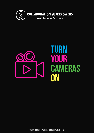

**COLLABORATION SUPERPOWERS** 

Work Together Anywhere

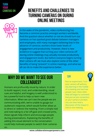### **TURN YOUR CAMERASON**

## **BENEFITS AND CHALLENGES TO TURNING CAMERAS ON DURING online meetings**



In the wake of the pandemic, video conferencing has become a common practice amongst workers worldwide. And the question about whether or not we should turn our cameras on has sparked great debate between managers and employees, with many managers believing that in the absence of cameras, workers show lower levels of engagement and productivity. However, there is new evidence to suggest that turning your video cameras off during online meetings may actually increase productivity and engagement levels. But before everyone begins turning their camera off, we must also explore some of the other benefits of being "present" in online meetings, and what we all can do to make the experience better.

### **WHY DO WE WANT TO SEE OUR colleagues?**

Humans are profoundly visual by nature. In order to build rapport, trust, and understanding, visual cues are helpful, and imagery is well understood to be a powerful tool to help us learn new information. When we can't see the people we are communicating with, we're unable to gauge our audience's response, which would further allow us to direct or redirect the meeting. From a simple nod and note-taking to a far-off gaze and crossed arms, these signals help inform and encourage people during presentations. Explaining the benefits of adding this visual element to the conversation could help motivate people to switch their cameras on.

### **tip!**

Run an experiment. Turn your camera off without any warning in the middle of a meeting and see how people react. Most often they will begin to comment that you've lost connection, or your camera is broken. You can then hold a discussion of the impact it had on the meeting.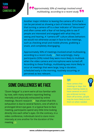*Approximately 30% of meetings involved email multitasking, according to a [recent](https://journals.sagepub.com/doi/full/10.1177/10464964211015286#) study.*

Another major inhibitor to leaving the camera off is that it can be perceived as showing a lack of interest. Some believe that turning a camera off is a clear indicator of "disconnect" and often comes with a fear of not being able to see if people are interested and engaged with what they are seeing and hearing. A "camera-off" culture allows behaviors we would not otherwise accept in face-to-face meetings, such as checking email and mobile phones, grabbing a snack, and completely disengaging.

Approximately 30% of meetings involved email multitasking, according to a recent study  $(1)$ . Not surprisingly, many participants (32%) noted they were more likely to multitask when the video camera and microphone were turned off. According to these findings, multitasking was more likely to occur at meetings that were large, long in duration, scheduled early in the morning, routinely occurring, or perceived as less relevant.

## **SOME CHALLENGES WE FACE**

"Zoom [fatigue](https://news.stanford.edu/2021/02/23/four-causes-zoom-fatigue-solutions/)" is a term we're all too familiar with by now, with many workers reporting feeling mentally and physically exhausted by online meetings. Recent research [\(2\)](https://www.wsj.com/articles/why-zoom-meetings-can-exhaust-us-11585953336) has shown that this exhaustion is due to several factors, one of which is prolonged direct eye gaze. In a typical face-to-face meeting, participants spend very little time looking directly into each other's eyes. On the contrary, in a video conference, individuals tend to stare more intensely at one another for the duration of the meeting [\(3\)](https://www.wsj.com/articles/why-zoom-meetings-can-exhaust-us-11585953336).

#### **tip!**

Have camera free meetings or days. Not every meeting needs to have cameras on and if you embrace turning them off at times, people may be more likely to turn them on when needed.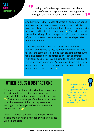#### **TURN YOUR CAMERASON**

.seeing one's self-image can make users hyperaware of their own appearances, leading to the feeling of self-consciousness and always being on.

Another factor is that images of others on screen can appear too large and too close, causing increased brain activity, biochemical changes, and physiological states associated with high alert and fight-or-flight responses  $(4)$ . This is because the size and proximity of such images can infringe on our sense of personal space or cause us to subconsciously perceive them as threatening.

Moreover, meeting participants may also experience information overload as they attempt to focus on multiple faces at the same time, all in one-inch boxes that often jump from one position on the screen to another as different individuals speak. This is complicated by the fact that during virtual meetings, participants' attention is drawn not only to other people's faces but also to people or things visible in other people's backgrounds [\(5\)](https://www.wsj.com/articles/why-does-zoom-exhaust-you-science-has-an-answer-11590600269).

## **Other issues & distractions**

Although useful at times, the chat function can add to participants' information processing load, especially if the content detracts from the meeting [\(6\)](https://www.liebertpub.com/doi/10.1089/cyber.2020.29188.bkw). Furthermore, seeing one's self-image can make users hyper-aware of their own appearances, leading to the feeling of self-consciousness and always being on [\(7\)](https://hbr.org/2020/04/how-to-combat-zoom-fatigue).

Zoom fatigue isn't the only issue we face. When people are starting at different playing fields, issues will begin to arise.

### **tip!**

Turn off self-view. The research suggests that "self-presentation" is one of the major stressors. You can minimise the reminder of selfpresentation by disabling your self-view.

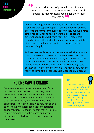### **TURN YOUR ERAS ON**

Low bandwidth, lack of private home office, and embarrassment of the home environment are all among the many reasons people don't turn their cameras on.

Policies and programs delivered by organizations and the managers they support hopefully ensure that everyone has access to the "same" or "equal" opportunities. But our diverse employee populations have different experiences and different needs. The work from home (WFH) model that's taken hold since the start of the pandemic has exposed these differences more than ever, which has brought up the question of equity.

To have reasonable expectations, we must take into account that not everyone has access to the same resources. Low bandwidth, lack of private home office, and embarrassment of the home environment are all among the many reasons people don't turn their cameras on. While some high-paid executives can afford top technology and high bandwidth, the reality of some of their colleagues is exceptionally different.

## **NO ONE SAW IT COMING**

Because many remote workers have been forced into the situation due to COVID19, they weren't prepared to move their offices into their homes. There's a lot of thinking and investing that goes into a remote work setup, and finances have to be considered. There are people who may not be able to afford the internet speed needed to facilitate online meetings. Furthermore, they may not be able to join a meeting free of kids, pets, and other distractions, in which case, they opt to leave their cameras off.

#### **tip!**

Craft a few questions related to camera's on/off and let the team debate and discuss what the pros and cons are of having cameras on during meetings. As a team, come up with a plan that works for everyone.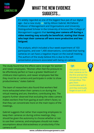### **TURN YOUR CAMERASON**

# **WHAT THE NEW EVIDENCE suggests...**

It's widely regarded as one of the biggest faux pas of our digital age – but a new study  $(8)$  led by Allison Gabriel, McClelland Professor of Management and Organisations and University [Distinguished](https://hr.economictimes.indiatimes.com/tag/university+of+arizona+eller+college+of+management) Scholar in the University of Arizona Eller College of Management suggests that **turning your camera off during a video meeting may actually be beneficial, stating that those who kept their cameras off were more productive and less fatigued.**

The analysis, which included a four-week experiment of 103 participants, and over 1,400 observations, concluded that having cameras on can have a negative impact on the overall meeting. The authors of the study believe this is due to the selfpresentation pressure associated with being on camera.

The study found that the effects were stronger for women and newer employees. "Women often feel the pressure to be effortlessly perfect or have a greater likelihood of childcare interruptions, and newer employees feel like they must be on camera and participate in order to show productiveness," states Gabriel.

The team of researchers also found that workers feel more exhausted when their camera is on during the virtual meeting and are, therefore, contributing less. The experts further observed that excluding the video camera makes workers free from gazing at each other's faces; so that they can concentrate more on the main topics of the meetings.

Gabriel suggests that rather than expecting employees to keep their cameras on during online meetings, they should be given the autonomy to choose whether or not to use their cameras, and employees should not make assumptions about distractedness or productivity if the camera is off.

### **tip!**

Ask people to turn their cameras on for the first and last five minutes to say hello and goodbye. This gets them comfortable with it and they eventually forget to turn it off.

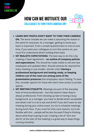### **Turn Your TERAS ON**

### **how CAN WE MOTIVATE OUR COLLEAGUES TO TURN THEIR CAMERAS ON?**



- **LEARN WHY PEOPLE DON'T WANT TO TURN THEIR CAMERAS ON.** The worst mistake we can make is assuming the reason is the same for everyone. As a manager, getting to know your team is important. From a simple questionnaire to one-on-one time, if you want your colleagues to turn the camera on, you must first understand what's holding them back.
- **SET REALISTIC EXPECTATIONS.** The best way to do this is by creating a Team Agreement – **an outline of company policies and expectations**. This should be made visible to old and new employees and updated often. Should cameras be required for every meeting or just smaller, shorter ones? **Having a professional background and looking ready, or keeping children out of the room are among some of the presentation pressures** that employees report feeling**.** To ease this, consider options for those who don't have access to private spaces.
- **SET MEETING ETIQUETTE.** Meetings are part of the everyday lives of most professionals – but that doesn't mean they're always professional. From showing up late to having a busy background, as a manager, you have to decide what's acceptable and what's not? Is it ok to eat and drink? If you don't want to see chewing during your online event, try not to schedule meetings during lunch hour. If you must for time zone reasons, try to be flexible with this – people will be less focused if they're thinking about what they're going to eat. Creating a list of "do's and don'ts" at the start of the meeting is a great way to keep things running smoothly.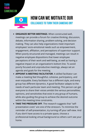### **Turn Your ERAS ON**



### **HOW CAN WE MOTIVATE OUR COLLEAGUES TO TURN THEIR CAMERAS ON?**

- **ORGANIZE BETTER MEETINGS**. When constructed well, meetings can provide a forum for creative thinking, discussion, debate, information sharing, problem-solving, and decision making. They can also help organizations meet important employees' socio-emotional needs such as empowerment, engagement, affiliation, and perceptions of supervisor support. When poorly structured and managed, meetings can result in negative employee dispositions that lower employee perceptions of their work and well-being, as well as having a negative impact on an organization's bottom line. To avoid poorly focused and unproductive meetings, always set an agenda and goals for the meeting.
- **APPOINT A MEETING FACILITATOR**. A skilled facilitator can make a meeting feel thoughtful, cohesive, participatory, and even enjoyable. Every facilitator has a different style, and every group has different dynamics. A good facilitator adapts to the needs of each particular team and meeting. This person can get everyone to share their voices amidst the various personalities, opinions, and sensitivities that exist in any group of humans, while also guiding the group to achieve the desired outcome within the meeting time constraints.
- **TAKE THE PRESSURE OFF**. The research suggests that "selfpresentation costs" are one of the stressors. To minimize the reminder of self-presentation, try turning off your self-view. And if you don't have access to a private space, choose a professional-looking virtual background so others can't see your home.